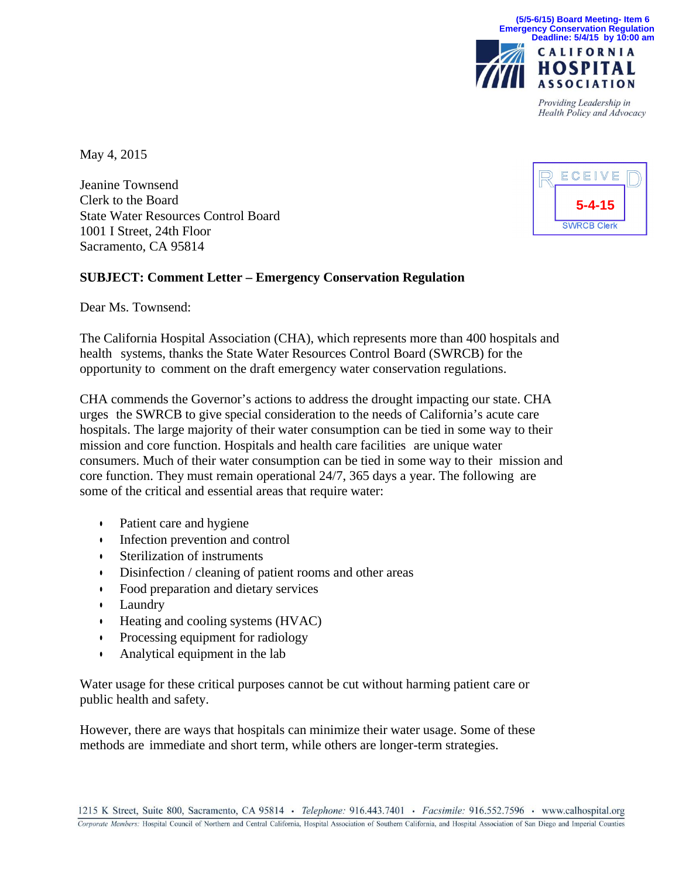

Providing Leadership in Health Policy and Advocacy

May 4, 2015

Jeanine Townsend Clerk to the Board State Water Resources Control Board 1001 I Street, 24th Floor Sacramento, CA 95814

## **SUBJECT: Comment Letter – Emergency Conservation Regulation**

Dear Ms. Townsend:

The California Hospital Association (CHA), which represents more than 400 hospitals and health systems, thanks the State Water Resources Control Board (SWRCB) for the opportunity to comment on the draft emergency water conservation regulations.

CHA commends the Governor's actions to address the drought impacting our state. CHA urges the SWRCB to give special consideration to the needs of California's acute care hospitals. The large majority of their water consumption can be tied in some way to their mission and core function. Hospitals and health care facilities are unique water consumers. Much of their water consumption can be tied in some way to their mission and core function. They must remain operational 24/7, 365 days a year. The following are some of the critical and essential areas that require water:

- Patient care and hygiene
- Infection prevention and control
- Sterilization of instruments
- Disinfection / cleaning of patient rooms and other areas
- Food preparation and dietary services
- Laundry
- Heating and cooling systems (HVAC)
- Processing equipment for radiology
- Analytical equipment in the lab

Water usage for these critical purposes cannot be cut without harming patient care or public health and safety.

However, there are ways that hospitals can minimize their water usage. Some of these methods are immediate and short term, while others are longer-term strategies.